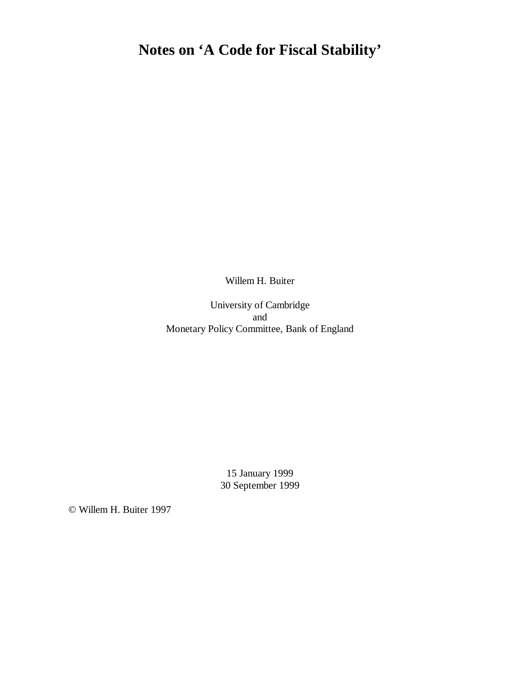# **Notes on 'A Code for Fiscal Stability'**

Willem H. Buiter

University of Cambridge and Monetary Policy Committee, Bank of England

> 15 January 1999 30 September 1999

© Willem H. Buiter 1997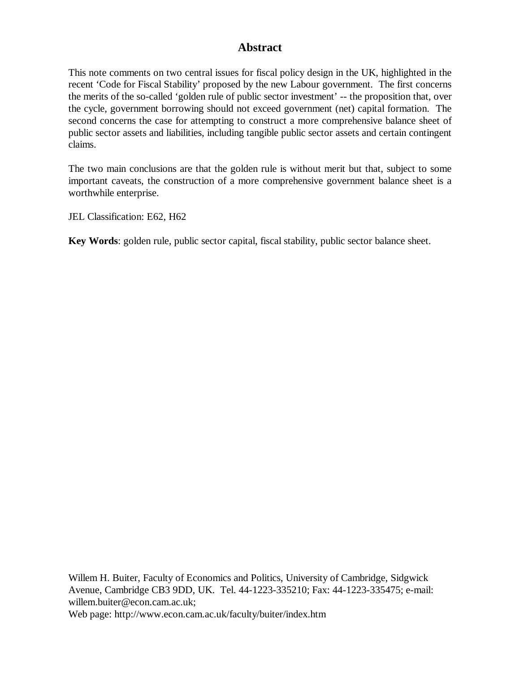# **Abstract**

This note comments on two central issues for fiscal policy design in the UK, highlighted in the recent 'Code for Fiscal Stability' proposed by the new Labour government. The first concerns the merits of the so-called 'golden rule of public sector investment' -- the proposition that, over the cycle, government borrowing should not exceed government (net) capital formation. The second concerns the case for attempting to construct a more comprehensive balance sheet of public sector assets and liabilities, including tangible public sector assets and certain contingent claims.

The two main conclusions are that the golden rule is without merit but that, subject to some important caveats, the construction of a more comprehensive government balance sheet is a worthwhile enterprise.

JEL Classification: E62, H62

**Key Words**: golden rule, public sector capital, fiscal stability, public sector balance sheet.

Willem H. Buiter, Faculty of Economics and Politics, University of Cambridge, Sidgwick Avenue, Cambridge CB3 9DD, UK. Tel. 44-1223-335210; Fax: 44-1223-335475; e-mail: willem.buiter@econ.cam.ac.uk; Web page: http://www.econ.cam.ac.uk/faculty/buiter/index.htm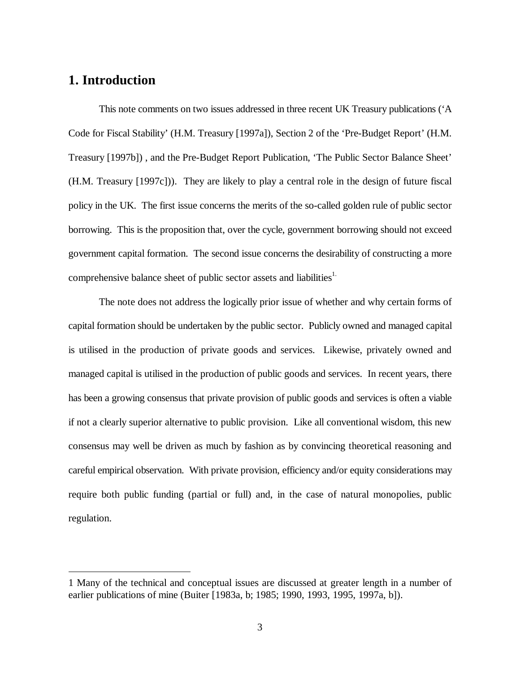# **1. Introduction**

 $\overline{a}$ 

This note comments on two issues addressed in three recent UK Treasury publications ('A Code for Fiscal Stability' (H.M. Treasury [1997a]), Section 2 of the 'Pre-Budget Report' (H.M. Treasury [1997b]) , and the Pre-Budget Report Publication, 'The Public Sector Balance Sheet' (H.M. Treasury [1997c])). They are likely to play a central role in the design of future fiscal policy in the UK. The first issue concerns the merits of the so-called golden rule of public sector borrowing. This is the proposition that, over the cycle, government borrowing should not exceed government capital formation. The second issue concerns the desirability of constructing a more comprehensive balance sheet of public sector assets and liabilities<sup>1.</sup>

The note does not address the logically prior issue of whether and why certain forms of capital formation should be undertaken by the public sector. Publicly owned and managed capital is utilised in the production of private goods and services. Likewise, privately owned and managed capital is utilised in the production of public goods and services. In recent years, there has been a growing consensus that private provision of public goods and services is often a viable if not a clearly superior alternative to public provision. Like all conventional wisdom, this new consensus may well be driven as much by fashion as by convincing theoretical reasoning and careful empirical observation. With private provision, efficiency and/or equity considerations may require both public funding (partial or full) and, in the case of natural monopolies, public regulation.

<sup>1</sup> Many of the technical and conceptual issues are discussed at greater length in a number of earlier publications of mine (Buiter [1983a, b; 1985; 1990, 1993, 1995, 1997a, b]).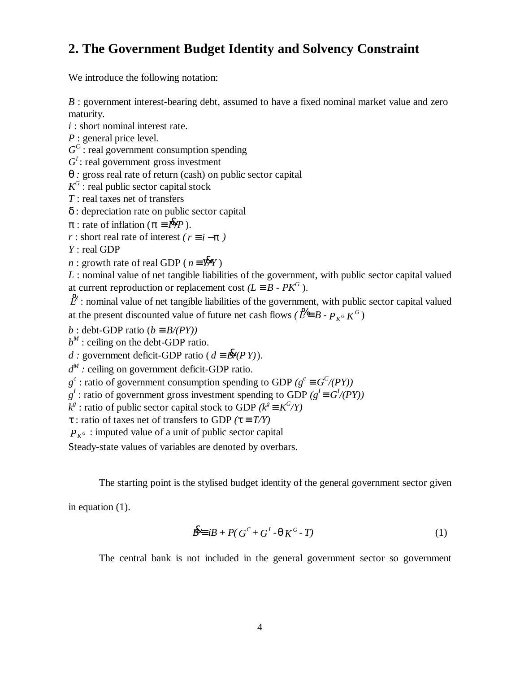# **2. The Government Budget Identity and Solvency Constraint**

We introduce the following notation:

*B* : government interest-bearing debt, assumed to have a fixed nominal market value and zero maturity.

*i* : short nominal interest rate.

*P* : general price level.

 $G^C$ : real government consumption spending

 $G^I$ : real government gross investment

*q* : gross real rate of return (cash) on public sector capital

 $\overline{K}$ <sup>G</sup> : real public sector capital stock

*T* : real taxes net of transfers

δ : depreciation rate on public sector capital

*p* : rate of inflation ( $p \equiv P\lll p$ ).

*r* : short real rate of interest  $(r \equiv i - p)$ 

*Y* : real GDP

*n* : growth rate of real GDP ( $n \equiv Y^x Y$ )

*L* : nominal value of net tangible liabilities of the government, with public sector capital valued at current reproduction or replacement cost  $(L^oB - PK^G)$ .

2<sup>6</sup>: nominal value of net tangible liabilities of the government, with public sector capital valued at the present discounted value of future net cash flows *(* $\mathcal{L} \equiv B - P_{K^G} K^G$ )

 $b :$  debt-GDP ratio (*b*  $\circ$  *B*/(*PY*))

 $b^M$  : ceiling on the debt-GDP ratio.

*d* : government deficit-GDP ratio ( $d = B\frac{R}{2}P(Y)$ ).

*d M :* ceiling on government deficit-GDP ratio.

 $g^c$ : ratio of government consumption spending to GDP *(g<sup>c</sup>*  $\sigma G^C / (PY)$ )

 $g^I$ : ratio of government gross investment spending to GDP  $(g^I \circ G^I / (PY))$ 

 $k^g$ : ratio of public sector capital stock to GDP  $(k^g \circ K^G/Y)$ 

τ : ratio of taxes net of transfers to GDP *(t º T/Y)*

 $P_{K^G}$ : imputed value of a unit of public sector capital

Steady-state values of variables are denoted by overbars.

The starting point is the stylised budget identity of the general government sector given

in equation (1).

$$
\mathbf{B} \mathbf{\mathbf{\mathbf{\mathbf{\mathbf{\mathbf{E}}}}} \mathbf{\mathbf{\mathbf{B}}} + P(\mathbf{G}^C + \mathbf{G}^I \cdot \mathbf{q} \mathbf{K}^G \cdot \mathbf{T})
$$
\n<sup>(1)</sup>

The central bank is not included in the general government sector so government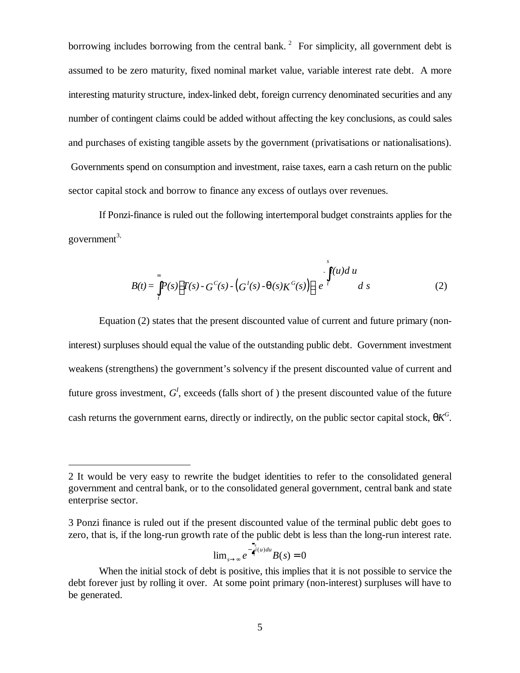borrowing includes borrowing from the central bank.<sup>2</sup> For simplicity, all government debt is assumed to be zero maturity, fixed nominal market value, variable interest rate debt. A more interesting maturity structure, index-linked debt, foreign currency denominated securities and any number of contingent claims could be added without affecting the key conclusions, as could sales and purchases of existing tangible assets by the government (privatisations or nationalisations). Governments spend on consumption and investment, raise taxes, earn a cash return on the public sector capital stock and borrow to finance any excess of outlays over revenues.

If Ponzi-finance is ruled out the following intertemporal budget constraints applies for the government $3$ ,

$$
B(t) = \int_{t}^{s} P(s) \Big[ T(s) - G^{C}(s) - \left( G^{I}(s) - q(s) K^{G}(s) \right) \Big] e^{-s} dt ds
$$
 (2)

Equation (2) states that the present discounted value of current and future primary (noninterest) surpluses should equal the value of the outstanding public debt. Government investment weakens (strengthens) the government's solvency if the present discounted value of current and future gross investment,  $G<sup>I</sup>$ , exceeds (falls short of) the present discounted value of the future cash returns the government earns, directly or indirectly, on the public sector capital stock,  $qK^G$ .

$$
\lim_{s \to \infty} e^{-\int_{\tau}^{\tau} i(u) du} B(s) = 0
$$

<sup>2</sup> It would be very easy to rewrite the budget identities to refer to the consolidated general government and central bank, or to the consolidated general government, central bank and state enterprise sector.

<sup>3</sup> Ponzi finance is ruled out if the present discounted value of the terminal public debt goes to zero, that is, if the long-run growth rate of the public debt is less than the long-run interest rate.

When the initial stock of debt is positive, this implies that it is not possible to service the debt forever just by rolling it over. At some point primary (non-interest) surpluses will have to be generated.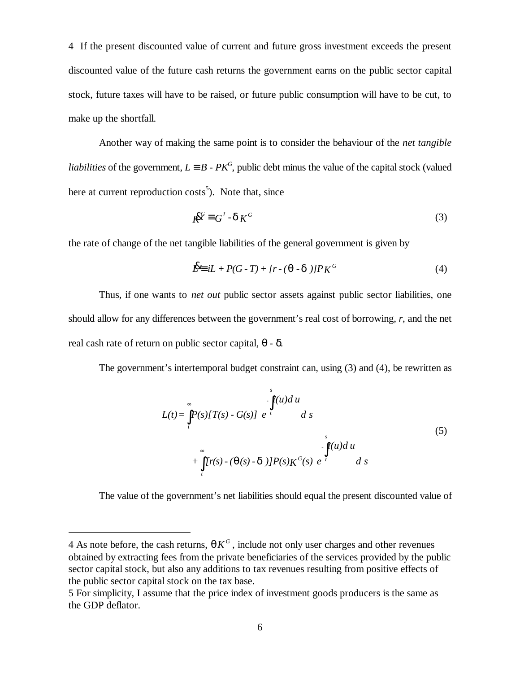4 If the present discounted value of current and future gross investment exceeds the present discounted value of the future cash returns the government earns on the public sector capital stock, future taxes will have to be raised, or future public consumption will have to be cut, to make up the shortfall.

Another way of making the same point is to consider the behaviour of the *net tangible liabilities* of the government,  $L^oB$  -  $PK^G$ , public debt minus the value of the capital stock (valued here at current reproduction costs<sup>5</sup>). Note that, since

$$
K^{\mathcal{G}} = G^I \cdot \mathbf{d} K^G \tag{3}
$$

the rate of change of the net tangible liabilities of the general government is given by

$$
\mathbf{B} \equiv iL + P(G - T) + [r - (\mathbf{q} - \mathbf{d})]P K^G \tag{4}
$$

Thus, if one wants to *net out* public sector assets against public sector liabilities, one should allow for any differences between the government's real cost of borrowing, *r*, and the net real cash rate of return on public sector capital, *q - d*.

The government's intertemporal budget constraint can, using (3) and (4), be rewritten as

$$
L(t) = \int_{t}^{\infty} P(s)[T(s) - G(s)] e^{-t} ds
$$
  
+ 
$$
\int_{t}^{\infty} [r(s) - (q(s) - d)]P(s)K^{G}(s) e^{-t} ds
$$
  
(5)

The value of the government's net liabilities should equal the present discounted value of

<sup>4</sup> As note before, the cash returns,  $qK^G$ , include not only user charges and other revenues obtained by extracting fees from the private beneficiaries of the services provided by the public sector capital stock, but also any additions to tax revenues resulting from positive effects of the public sector capital stock on the tax base.

<sup>5</sup> For simplicity, I assume that the price index of investment goods producers is the same as the GDP deflator.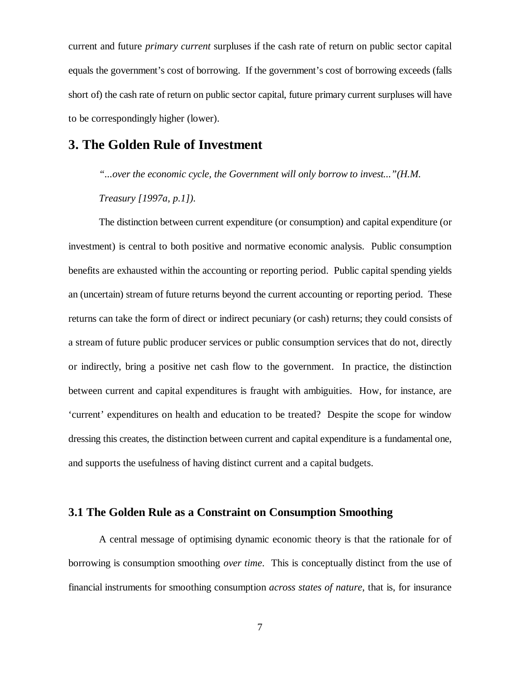current and future *primary current* surpluses if the cash rate of return on public sector capital equals the government's cost of borrowing. If the government's cost of borrowing exceeds (falls short of) the cash rate of return on public sector capital, future primary current surpluses will have to be correspondingly higher (lower).

# **3. The Golden Rule of Investment**

*"...over the economic cycle, the Government will only borrow to invest..."(H.M.*

*Treasury [1997a, p.1]).*

The distinction between current expenditure (or consumption) and capital expenditure (or investment) is central to both positive and normative economic analysis. Public consumption benefits are exhausted within the accounting or reporting period. Public capital spending yields an (uncertain) stream of future returns beyond the current accounting or reporting period. These returns can take the form of direct or indirect pecuniary (or cash) returns; they could consists of a stream of future public producer services or public consumption services that do not, directly or indirectly, bring a positive net cash flow to the government. In practice, the distinction between current and capital expenditures is fraught with ambiguities. How, for instance, are 'current' expenditures on health and education to be treated? Despite the scope for window dressing this creates, the distinction between current and capital expenditure is a fundamental one, and supports the usefulness of having distinct current and a capital budgets.

### **3.1 The Golden Rule as a Constraint on Consumption Smoothing**

A central message of optimising dynamic economic theory is that the rationale for of borrowing is consumption smoothing *over time*. This is conceptually distinct from the use of financial instruments for smoothing consumption *across states of nature*, that is, for insurance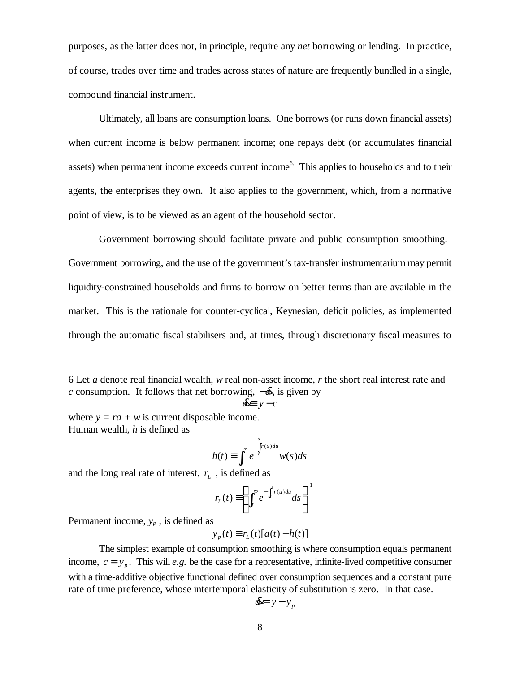purposes, as the latter does not, in principle, require any *net* borrowing or lending. In practice, of course, trades over time and trades across states of nature are frequently bundled in a single, compound financial instrument.

Ultimately, all loans are consumption loans. One borrows (or runs down financial assets) when current income is below permanent income; one repays debt (or accumulates financial assets) when permanent income exceeds current income<sup>6.</sup> This applies to households and to their agents, the enterprises they own. It also applies to the government, which, from a normative point of view, is to be viewed as an agent of the household sector.

Government borrowing should facilitate private and public consumption smoothing. Government borrowing, and the use of the government's tax-transfer instrumentarium may permit liquidity-constrained households and firms to borrow on better terms than are available in the market. This is the rationale for counter-cyclical, Keynesian, deficit policies, as implemented through the automatic fiscal stabilisers and, at times, through discretionary fiscal measures to

$$
d\mathbf{k} = y - c
$$

where  $y = ra + w$  is current disposable income. Human wealth, *h* is defined as

$$
h(t) \equiv \int_t^{\infty} e^{-\int_t^s r(u) du} w(s) ds
$$

and the long real rate of interest,  $r<sub>L</sub>$ , is defined as

$$
r_L(t) \equiv \left(\int_t^\infty e^{-\int_t^s r(u) du} ds\right)^{-1}
$$

Permanent income, *yp* , is defined as

$$
y_p(t) \equiv r_L(t)[a(t) + h(t)]
$$

$$
d\mathbf{k} = y - y_p
$$

<sup>6</sup> Let *a* denote real financial wealth, *w* real non-asset income, *r* the short real interest rate and *c* consumption. It follows that net borrowing,  $-\alpha$ , is given by

The simplest example of consumption smoothing is where consumption equals permanent income,  $c = y_p$ . This will *e.g.* be the case for a representative, infinite-lived competitive consumer with a time-additive objective functional defined over consumption sequences and a constant pure rate of time preference, whose intertemporal elasticity of substitution is zero. In that case.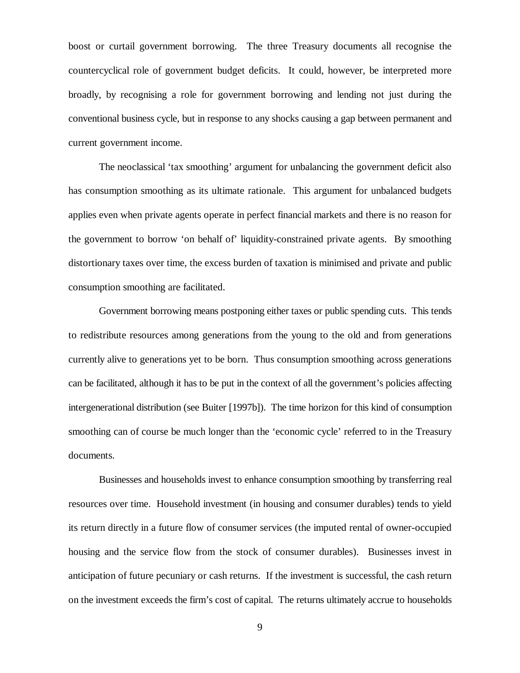boost or curtail government borrowing. The three Treasury documents all recognise the countercyclical role of government budget deficits. It could, however, be interpreted more broadly, by recognising a role for government borrowing and lending not just during the conventional business cycle, but in response to any shocks causing a gap between permanent and current government income.

The neoclassical 'tax smoothing' argument for unbalancing the government deficit also has consumption smoothing as its ultimate rationale. This argument for unbalanced budgets applies even when private agents operate in perfect financial markets and there is no reason for the government to borrow 'on behalf of' liquidity-constrained private agents. By smoothing distortionary taxes over time, the excess burden of taxation is minimised and private and public consumption smoothing are facilitated.

Government borrowing means postponing either taxes or public spending cuts. This tends to redistribute resources among generations from the young to the old and from generations currently alive to generations yet to be born. Thus consumption smoothing across generations can be facilitated, although it has to be put in the context of all the government's policies affecting intergenerational distribution (see Buiter [1997b]). The time horizon for this kind of consumption smoothing can of course be much longer than the 'economic cycle' referred to in the Treasury documents.

Businesses and households invest to enhance consumption smoothing by transferring real resources over time. Household investment (in housing and consumer durables) tends to yield its return directly in a future flow of consumer services (the imputed rental of owner-occupied housing and the service flow from the stock of consumer durables). Businesses invest in anticipation of future pecuniary or cash returns. If the investment is successful, the cash return on the investment exceeds the firm's cost of capital. The returns ultimately accrue to households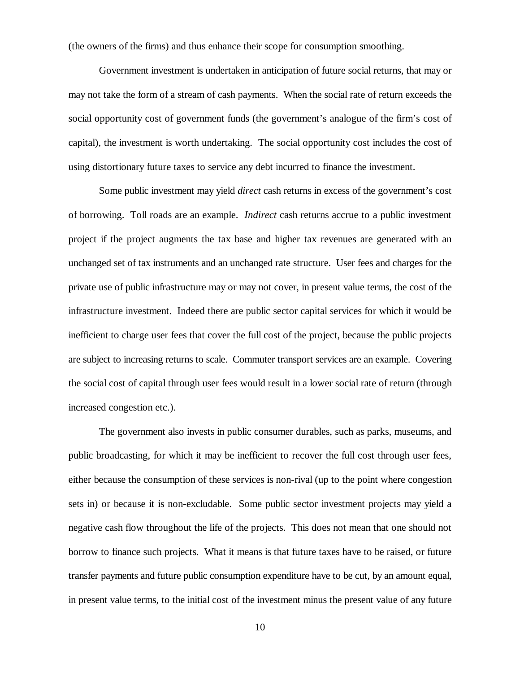(the owners of the firms) and thus enhance their scope for consumption smoothing.

Government investment is undertaken in anticipation of future social returns, that may or may not take the form of a stream of cash payments. When the social rate of return exceeds the social opportunity cost of government funds (the government's analogue of the firm's cost of capital), the investment is worth undertaking. The social opportunity cost includes the cost of using distortionary future taxes to service any debt incurred to finance the investment.

Some public investment may yield *direct* cash returns in excess of the government's cost of borrowing. Toll roads are an example. *Indirect* cash returns accrue to a public investment project if the project augments the tax base and higher tax revenues are generated with an unchanged set of tax instruments and an unchanged rate structure. User fees and charges for the private use of public infrastructure may or may not cover, in present value terms, the cost of the infrastructure investment. Indeed there are public sector capital services for which it would be inefficient to charge user fees that cover the full cost of the project, because the public projects are subject to increasing returns to scale. Commuter transport services are an example. Covering the social cost of capital through user fees would result in a lower social rate of return (through increased congestion etc.).

The government also invests in public consumer durables, such as parks, museums, and public broadcasting, for which it may be inefficient to recover the full cost through user fees, either because the consumption of these services is non-rival (up to the point where congestion sets in) or because it is non-excludable. Some public sector investment projects may yield a negative cash flow throughout the life of the projects. This does not mean that one should not borrow to finance such projects. What it means is that future taxes have to be raised, or future transfer payments and future public consumption expenditure have to be cut, by an amount equal, in present value terms, to the initial cost of the investment minus the present value of any future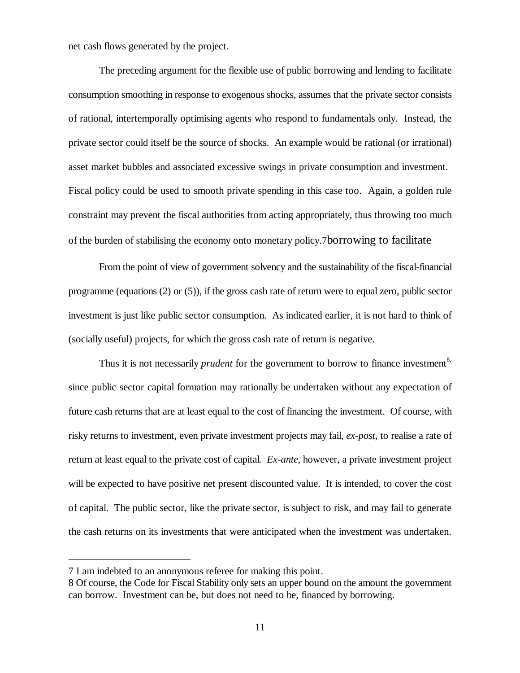net cash flows generated by the project.

The preceding argument for the flexible use of public borrowing and lending to facilitate consumption smoothing in response to exogenous shocks, assumes that the private sector consists of rational, intertemporally optimising agents who respond to fundamentals only. Instead, the private sector could itself be the source of shocks. An example would be rational (or irrational) asset market bubbles and associated excessive swings in private consumption and investment. Fiscal policy could be used to smooth private spending in this case too. Again, a golden rule constraint may prevent the fiscal authorities from acting appropriately, thus throwing too much of the burden of stabilising the economy onto monetary policy.7borrowing to facilitate

From the point of view of government solvency and the sustainability of the fiscal-financial programme (equations (2) or (5)), if the gross cash rate of return were to equal zero, public sector investment is just like public sector consumption. As indicated earlier, it is not hard to think of (socially useful) projects, for which the gross cash rate of return is negative.

Thus it is not necessarily *prudent* for the government to borrow to finance investment<sup>8,</sup> since public sector capital formation may rationally be undertaken without any expectation of future cash returns that are at least equal to the cost of financing the investment. Of course, with risky returns to investment, even private investment projects may fail, *ex-post*, to realise a rate of return at least equal to the private cost of capital*. Ex-ante*, however, a private investment project will be expected to have positive net present discounted value. It is intended, to cover the cost of capital. The public sector, like the private sector, is subject to risk, and may fail to generate the cash returns on its investments that were anticipated when the investment was undertaken.

<sup>7</sup> I am indebted to an anonymous referee for making this point.

<sup>8</sup> Of course, the Code for Fiscal Stability only sets an upper bound on the amount the government can borrow. Investment can be, but does not need to be, financed by borrowing.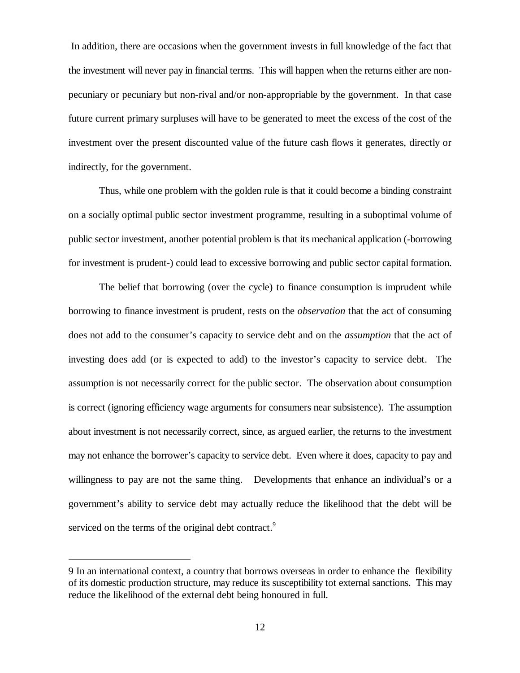In addition, there are occasions when the government invests in full knowledge of the fact that the investment will never pay in financial terms. This will happen when the returns either are nonpecuniary or pecuniary but non-rival and/or non-appropriable by the government. In that case future current primary surpluses will have to be generated to meet the excess of the cost of the investment over the present discounted value of the future cash flows it generates, directly or indirectly, for the government.

Thus, while one problem with the golden rule is that it could become a binding constraint on a socially optimal public sector investment programme, resulting in a suboptimal volume of public sector investment, another potential problem is that its mechanical application (-borrowing for investment is prudent-) could lead to excessive borrowing and public sector capital formation.

The belief that borrowing (over the cycle) to finance consumption is imprudent while borrowing to finance investment is prudent, rests on the *observation* that the act of consuming does not add to the consumer's capacity to service debt and on the *assumption* that the act of investing does add (or is expected to add) to the investor's capacity to service debt. The assumption is not necessarily correct for the public sector. The observation about consumption is correct (ignoring efficiency wage arguments for consumers near subsistence). The assumption about investment is not necessarily correct, since, as argued earlier, the returns to the investment may not enhance the borrower's capacity to service debt. Even where it does, capacity to pay and willingness to pay are not the same thing. Developments that enhance an individual's or a government's ability to service debt may actually reduce the likelihood that the debt will be serviced on the terms of the original debt contract.<sup>9</sup>

<sup>9</sup> In an international context, a country that borrows overseas in order to enhance the flexibility of its domestic production structure, may reduce its susceptibility tot external sanctions. This may reduce the likelihood of the external debt being honoured in full.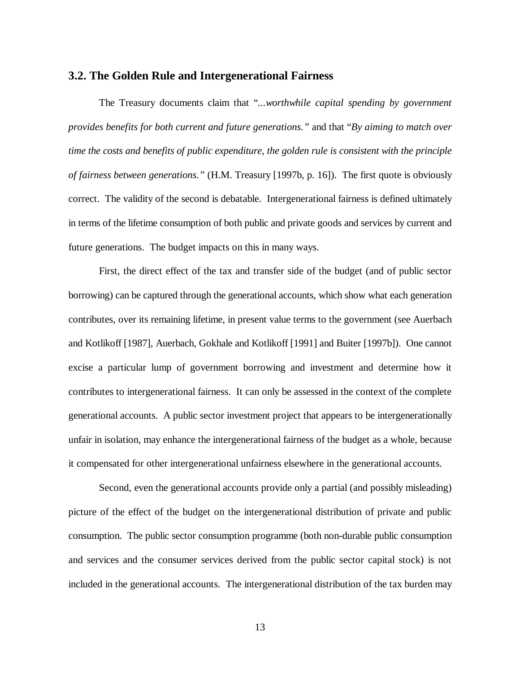#### **3.2. The Golden Rule and Intergenerational Fairness**

The Treasury documents claim that "*...worthwhile capital spending by government provides benefits for both current and future generations."* and that "*By aiming to match over time the costs and benefits of public expenditure, the golden rule is consistent with the principle of fairness between generations."* (H.M. Treasury [1997b, p. 16]). The first quote is obviously correct. The validity of the second is debatable. Intergenerational fairness is defined ultimately in terms of the lifetime consumption of both public and private goods and services by current and future generations. The budget impacts on this in many ways.

First, the direct effect of the tax and transfer side of the budget (and of public sector borrowing) can be captured through the generational accounts, which show what each generation contributes, over its remaining lifetime, in present value terms to the government (see Auerbach and Kotlikoff [1987], Auerbach, Gokhale and Kotlikoff [1991] and Buiter [1997b]). One cannot excise a particular lump of government borrowing and investment and determine how it contributes to intergenerational fairness. It can only be assessed in the context of the complete generational accounts. A public sector investment project that appears to be intergenerationally unfair in isolation, may enhance the intergenerational fairness of the budget as a whole, because it compensated for other intergenerational unfairness elsewhere in the generational accounts.

Second, even the generational accounts provide only a partial (and possibly misleading) picture of the effect of the budget on the intergenerational distribution of private and public consumption. The public sector consumption programme (both non-durable public consumption and services and the consumer services derived from the public sector capital stock) is not included in the generational accounts. The intergenerational distribution of the tax burden may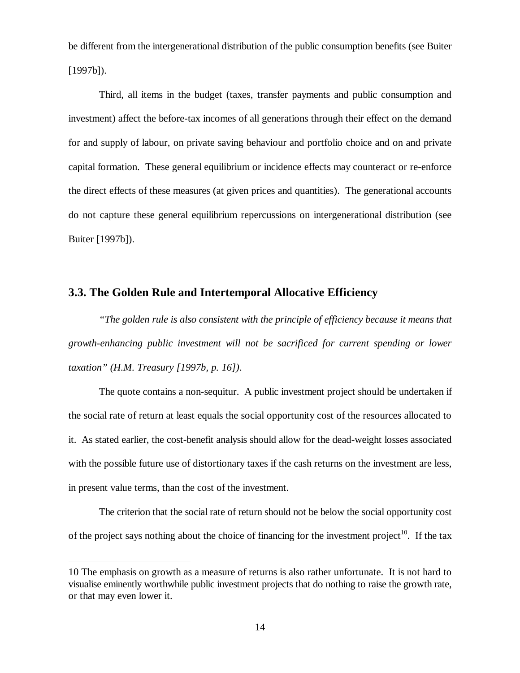be different from the intergenerational distribution of the public consumption benefits (see Buiter  $[1997b]$ .

Third, all items in the budget (taxes, transfer payments and public consumption and investment) affect the before-tax incomes of all generations through their effect on the demand for and supply of labour, on private saving behaviour and portfolio choice and on and private capital formation. These general equilibrium or incidence effects may counteract or re-enforce the direct effects of these measures (at given prices and quantities). The generational accounts do not capture these general equilibrium repercussions on intergenerational distribution (see Buiter [1997b]).

### **3.3. The Golden Rule and Intertemporal Allocative Efficiency**

*"The golden rule is also consistent with the principle of efficiency because it means that growth-enhancing public investment will not be sacrificed for current spending or lower taxation"(H.M. Treasury [1997b, p. 16])*.

The quote contains a non-sequitur.A public investment project should be undertaken if the social rate of return at least equals the social opportunity cost of the resources allocated to it. As stated earlier, the cost-benefit analysis should allow for the dead-weight losses associated with the possible future use of distortionary taxes if the cash returns on the investment are less, in present value terms, than the cost of the investment.

The criterion that the social rate of return should not be below the social opportunity cost of the project says nothing about the choice of financing for the investment project<sup>10</sup>. If the tax

<sup>10</sup> The emphasis on growth as a measure of returns is also rather unfortunate. It is not hard to visualise eminently worthwhile public investment projects that do nothing to raise the growth rate, or that may even lower it.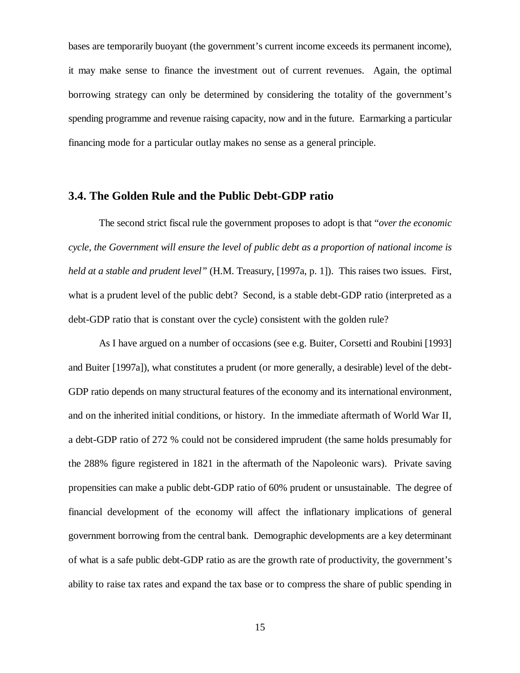bases are temporarily buoyant (the government's current income exceeds its permanent income), it may make sense to finance the investment out of current revenues. Again, the optimal borrowing strategy can only be determined by considering the totality of the government's spending programme and revenue raising capacity, now and in the future. Earmarking a particular financing mode for a particular outlay makes no sense as a general principle.

# **3.4. The Golden Rule and the Public Debt-GDP ratio**

The second strict fiscal rule the government proposes to adopt is that "*over the economic cycle, the Government will ensure the level of public debt as a proportion of national income is held at a stable and prudent level"* (H.M. Treasury, [1997a, p. 1]). This raises two issues. First, what is a prudent level of the public debt? Second, is a stable debt-GDP ratio (interpreted as a debt-GDP ratio that is constant over the cycle) consistent with the golden rule?

As I have argued on a number of occasions (see e.g. Buiter, Corsetti and Roubini [1993] and Buiter [1997a]), what constitutes a prudent (or more generally, a desirable) level of the debt-GDP ratio depends on many structural features of the economy and its international environment, and on the inherited initial conditions, or history. In the immediate aftermath of World War II, a debt-GDP ratio of 272 % could not be considered imprudent (the same holds presumably for the 288% figure registered in 1821 in the aftermath of the Napoleonic wars). Private saving propensities can make a public debt-GDP ratio of 60% prudent or unsustainable. The degree of financial development of the economy will affect the inflationary implications of general government borrowing from the central bank. Demographic developments are a key determinant of what is a safe public debt-GDP ratio as are the growth rate of productivity, the government's ability to raise tax rates and expand the tax base or to compress the share of public spending in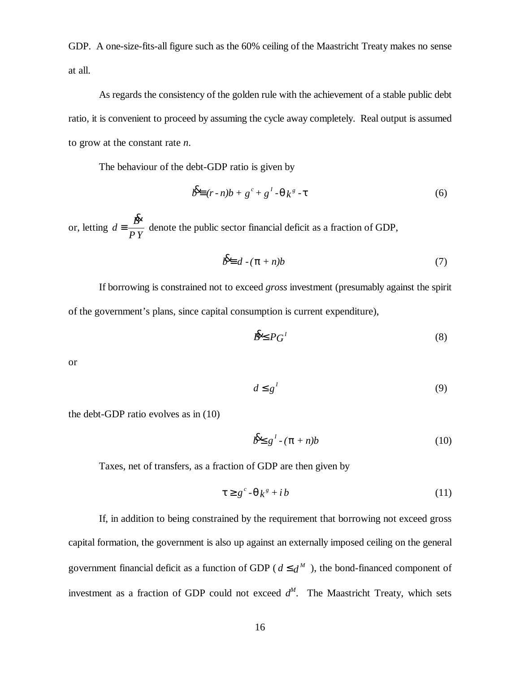GDP. A one-size-fits-all figure such as the 60% ceiling of the Maastricht Treaty makes no sense at all.

As regards the consistency of the golden rule with the achievement of a stable public debt ratio, it is convenient to proceed by assuming the cycle away completely. Real output is assumed to grow at the constant rate *n*.

The behaviour of the debt-GDP ratio is given by

$$
b^{\mathbf{g}} \equiv (r \cdot n)b + g^c + g^l \cdot \mathbf{q}k^s \cdot \mathbf{t}
$$
 (6)

or, letting  $d = \frac{B}{D}$ *P Y* ≡ & denote the public sector financial deficit as a fraction of GDP,

$$
b^2 \equiv d - (p + n)b \tag{7}
$$

If borrowing is constrained not to exceed *gross* investment (presumably against the spirit of the government's plans, since capital consumption is current expenditure),

$$
B^2 \le P G^1 \tag{8}
$$

or

$$
d \le g^{\,l} \tag{9}
$$

the debt-GDP ratio evolves as in (10)

$$
b^2 \mathbf{g}^l \cdot (\mathbf{p} + n)b \tag{10}
$$

Taxes, net of transfers, as a fraction of GDP are then given by

$$
\mathbf{t} \geq g^c - \mathbf{q} k^s + ib \tag{11}
$$

If, in addition to being constrained by the requirement that borrowing not exceed gross capital formation, the government is also up against an externally imposed ceiling on the general government financial deficit as a function of GDP ( $d \le d^M$ ), the bond-financed component of investment as a fraction of GDP could not exceed  $d^M$ . The Maastricht Treaty, which sets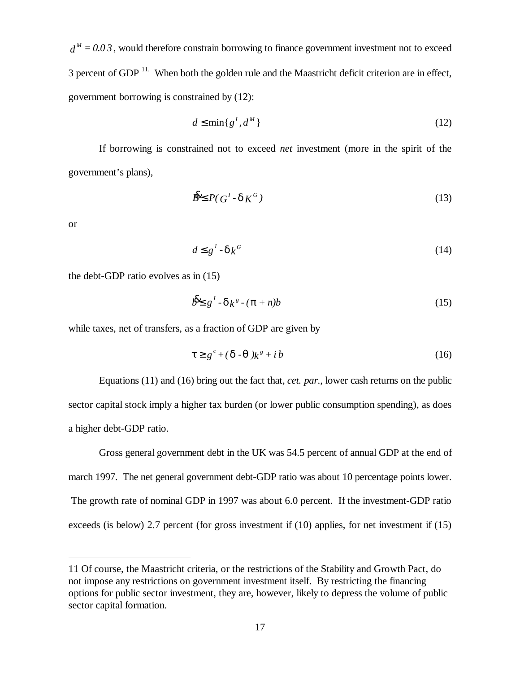$d^M = 0.03$ , would therefore constrain borrowing to finance government investment not to exceed 3 percent of GDP<sup>11.</sup> When both the golden rule and the Maastricht deficit criterion are in effect, government borrowing is constrained by (12):

$$
d \le \min\{g^I, d^M\} \tag{12}
$$

If borrowing is constrained not to exceed *net* investment (more in the spirit of the government's plans),

$$
\mathbf{B}^{\mathbf{g}} \leq P(\mathbf{G}^1 \cdot \mathbf{d}\mathbf{K}^G) \tag{13}
$$

or

 $\overline{a}$ 

$$
d \leq g^{\prime} \cdot \mathbf{c} \mathbf{k}^{G} \tag{14}
$$

the debt-GDP ratio evolves as in (15)

$$
b^2 \mathbf{I} \cdot \mathbf{d} k^s \cdot (\mathbf{p} + n)b \tag{15}
$$

while taxes, net of transfers, as a fraction of GDP are given by

$$
\mathbf{t} \geq g^c + (\mathbf{d} \cdot \mathbf{q}) k^s + ib \tag{16}
$$

Equations (11) and (16) bring out the fact that, *cet. par*., lower cash returns on the public sector capital stock imply a higher tax burden (or lower public consumption spending), as does a higher debt-GDP ratio.

Gross general government debt in the UK was 54.5 percent of annual GDP at the end of march 1997. The net general government debt-GDP ratio was about 10 percentage points lower. The growth rate of nominal GDP in 1997 was about 6.0 percent. If the investment-GDP ratio exceeds (is below) 2.7 percent (for gross investment if (10) applies, for net investment if (15)

<sup>11</sup> Of course, the Maastricht criteria, or the restrictions of the Stability and Growth Pact, do not impose any restrictions on government investment itself. By restricting the financing options for public sector investment, they are, however, likely to depress the volume of public sector capital formation.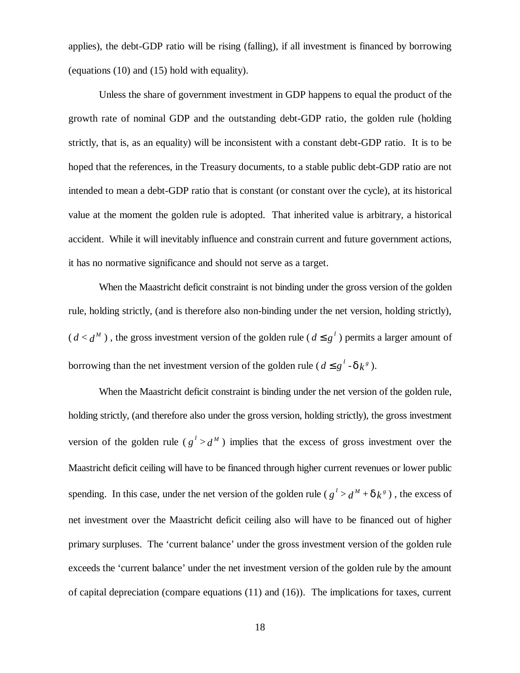applies), the debt-GDP ratio will be rising (falling), if all investment is financed by borrowing (equations (10) and (15) hold with equality).

Unless the share of government investment in GDP happens to equal the product of the growth rate of nominal GDP and the outstanding debt-GDP ratio, the golden rule (holding strictly, that is, as an equality) will be inconsistent with a constant debt-GDP ratio. It is to be hoped that the references, in the Treasury documents, to a stable public debt-GDP ratio are not intended to mean a debt-GDP ratio that is constant (or constant over the cycle), at its historical value at the moment the golden rule is adopted. That inherited value is arbitrary, a historical accident. While it will inevitably influence and constrain current and future government actions, it has no normative significance and should not serve as a target.

When the Maastricht deficit constraint is not binding under the gross version of the golden rule, holding strictly, (and is therefore also non-binding under the net version, holding strictly),  $(d < d^M)$ , the gross investment version of the golden rule  $(d \leq g^I)$  permits a larger amount of borrowing than the net investment version of the golden rule ( $d \leq g^l \cdot d k^s$ ).

When the Maastricht deficit constraint is binding under the net version of the golden rule, holding strictly, (and therefore also under the gross version, holding strictly), the gross investment version of the golden rule ( $g^1 > d^M$ ) implies that the excess of gross investment over the Maastricht deficit ceiling will have to be financed through higher current revenues or lower public spending. In this case, under the net version of the golden rule ( $g^I > d^M + \mathbf{d} k^s$ ), the excess of net investment over the Maastricht deficit ceiling also will have to be financed out of higher primary surpluses. The 'current balance' under the gross investment version of the golden rule exceeds the 'current balance' under the net investment version of the golden rule by the amount of capital depreciation (compare equations (11) and (16)). The implications for taxes, current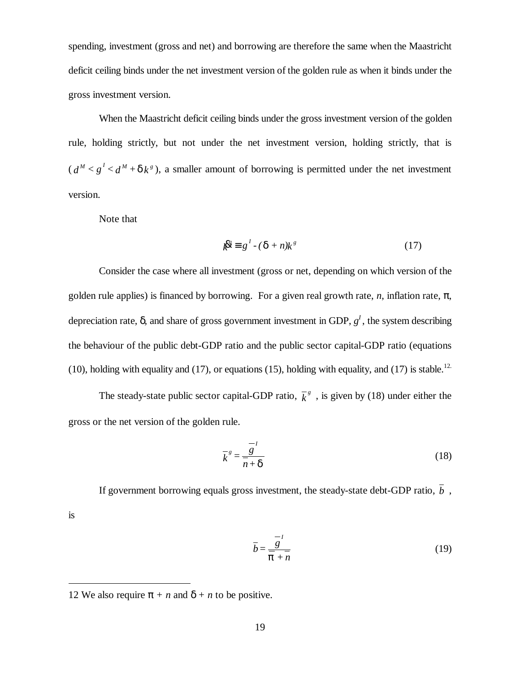spending, investment (gross and net) and borrowing are therefore the same when the Maastricht deficit ceiling binds under the net investment version of the golden rule as when it binds under the gross investment version.

When the Maastricht deficit ceiling binds under the gross investment version of the golden rule, holding strictly, but not under the net investment version, holding strictly, that is  $(d^M < g^I < d^M + d k^s)$ , a smaller amount of borrowing is permitted under the net investment version.

Note that

is

 $\overline{a}$ 

$$
{}_{k} \mathbf{\&} \equiv g^{l} \cdot (\mathbf{d} + n) k^{s} \tag{17}
$$

Consider the case where all investment (gross or net, depending on which version of the golden rule applies) is financed by borrowing. For a given real growth rate, *n*, inflation rate, *p*, depreciation rate,  $\boldsymbol{d}$  and share of gross government investment in GDP,  $g^I$ , the system describing the behaviour of the public debt-GDP ratio and the public sector capital-GDP ratio (equations (10), holding with equality and (17), or equations (15), holding with equality, and (17) is stable.<sup>12.</sup>

The steady-state public sector capital-GDP ratio,  $\overline{k}^s$ , is given by (18) under either the gross or the net version of the golden rule.

$$
\overline{k}^s = \frac{\overline{s}^t}{\overline{n} + \overline{\mathbf{d}}}
$$
 (18)

If government borrowing equals gross investment, the steady-state debt-GDP ratio,  $\overline{b}$ ,

$$
\bar{b} = \frac{\bar{g}}{\bar{p} + \bar{n}} \tag{19}
$$

<sup>12</sup> We also require  $p + n$  and  $d + n$  to be positive.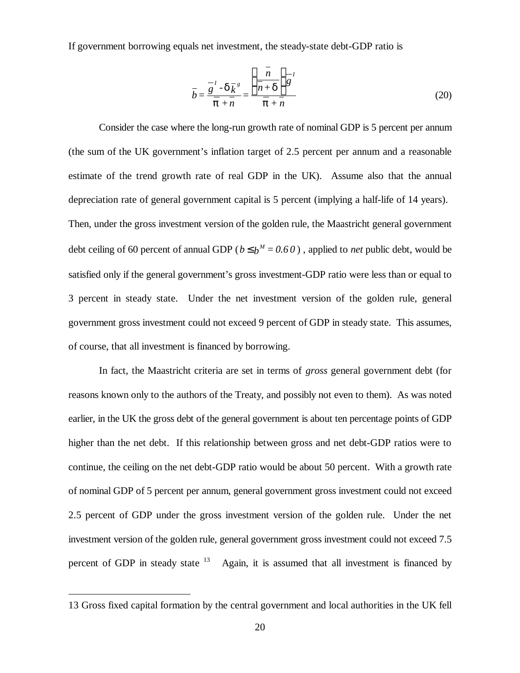If government borrowing equals net investment, the steady-state debt-GDP ratio is

$$
\bar{b} = \frac{\overline{g}^{\prime} - \overline{\mathbf{d}} \overline{k}^{s}}{\overline{\mathbf{p}} + \overline{n}} = \frac{\left(\frac{\overline{n}}{\overline{n} + \mathbf{d}}\right) \overline{s}^{\prime}}{\overline{\mathbf{p}} + \overline{n}}
$$
(20)

Consider the case where the long-run growth rate of nominal GDP is 5 percent per annum (the sum of the UK government's inflation target of 2.5 percent per annum and a reasonable estimate of the trend growth rate of real GDP in the UK). Assume also that the annual depreciation rate of general government capital is 5 percent (implying a half-life of 14 years). Then, under the gross investment version of the golden rule, the Maastricht general government debt ceiling of 60 percent of annual GDP ( $b \leq b^M = 0.60$ ), applied to *net* public debt, would be satisfied only if the general government's gross investment-GDP ratio were less than or equal to 3 percent in steady state. Under the net investment version of the golden rule, general government gross investment could not exceed 9 percent of GDP in steady state. This assumes, of course, that all investment is financed by borrowing.

In fact, the Maastricht criteria are set in terms of *gross* general government debt (for reasons known only to the authors of the Treaty, and possibly not even to them). As was noted earlier, in the UK the gross debt of the general government is about ten percentage points of GDP higher than the net debt. If this relationship between gross and net debt-GDP ratios were to continue, the ceiling on the net debt-GDP ratio would be about 50 percent. With a growth rate of nominal GDP of 5 percent per annum, general government gross investment could not exceed 2.5 percent of GDP under the gross investment version of the golden rule. Under the net investment version of the golden rule, general government gross investment could not exceed 7.5 percent of GDP in steady state  $13$  Again, it is assumed that all investment is financed by

<sup>13</sup> Gross fixed capital formation by the central government and local authorities in the UK fell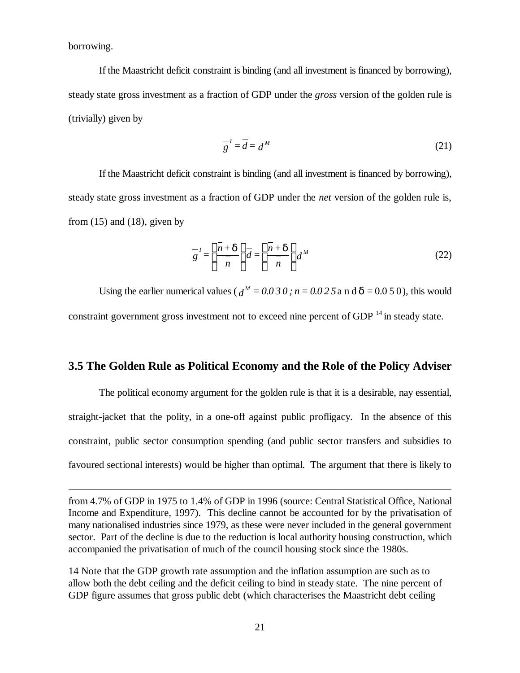borrowing.

 $\overline{a}$ 

If the Maastricht deficit constraint is binding (and all investment is financed by borrowing), steady state gross investment as a fraction of GDP under the *gross* version of the golden rule is (trivially) given by

$$
\frac{-i}{g} = \overline{d} = d^M \tag{21}
$$

If the Maastricht deficit constraint is binding (and all investment is financed by borrowing), steady state gross investment as a fraction of GDP under the *net* version of the golden rule is, from  $(15)$  and  $(18)$ , given by

$$
g^{-1} = \left(\frac{\bar{n} + d}{\bar{n}}\right) \bar{d} = \left(\frac{\bar{n} + d}{\bar{n}}\right) d^M
$$
 (22)

Using the earlier numerical values ( $d^M = 0.030$ ;  $n = 0.025$  a n d  $d = 0.050$ ), this would constraint government gross investment not to exceed nine percent of GDP  $<sup>14</sup>$  in steady state.</sup>

## **3.5 The Golden Rule as Political Economy and the Role of the Policy Adviser**

The political economy argument for the golden rule is that it is a desirable, nay essential, straight-jacket that the polity, in a one-off against public profligacy. In the absence of this constraint, public sector consumption spending (and public sector transfers and subsidies to favoured sectional interests) would be higher than optimal. The argument that there is likely to

14 Note that the GDP growth rate assumption and the inflation assumption are such as to allow both the debt ceiling and the deficit ceiling to bind in steady state. The nine percent of GDP figure assumes that gross public debt (which characterises the Maastricht debt ceiling

from 4.7% of GDP in 1975 to 1.4% of GDP in 1996 (source: Central Statistical Office, National Income and Expenditure, 1997). This decline cannot be accounted for by the privatisation of many nationalised industries since 1979, as these were never included in the general government sector. Part of the decline is due to the reduction is local authority housing construction, which accompanied the privatisation of much of the council housing stock since the 1980s.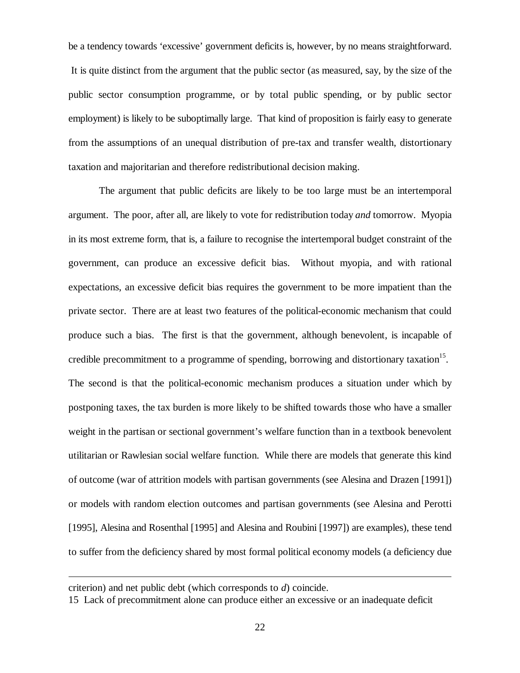be a tendency towards 'excessive' government deficits is, however, by no means straightforward. It is quite distinct from the argument that the public sector (as measured, say, by the size of the public sector consumption programme, or by total public spending, or by public sector employment) is likely to be suboptimally large. That kind of proposition is fairly easy to generate from the assumptions of an unequal distribution of pre-tax and transfer wealth, distortionary taxation and majoritarian and therefore redistributional decision making.

The argument that public deficits are likely to be too large must be an intertemporal argument. The poor, after all, are likely to vote for redistribution today *and* tomorrow. Myopia in its most extreme form, that is, a failure to recognise the intertemporal budget constraint of the government, can produce an excessive deficit bias. Without myopia, and with rational expectations, an excessive deficit bias requires the government to be more impatient than the private sector. There are at least two features of the political-economic mechanism that could produce such a bias. The first is that the government, although benevolent, is incapable of credible precommitment to a programme of spending, borrowing and distortionary taxation<sup>15</sup>. The second is that the political-economic mechanism produces a situation under which by postponing taxes, the tax burden is more likely to be shifted towards those who have a smaller weight in the partisan or sectional government's welfare function than in a textbook benevolent utilitarian or Rawlesian social welfare function. While there are models that generate this kind of outcome (war of attrition models with partisan governments (see Alesina and Drazen [1991]) or models with random election outcomes and partisan governments (see Alesina and Perotti [1995], Alesina and Rosenthal [1995] and Alesina and Roubini [1997]) are examples), these tend to suffer from the deficiency shared by most formal political economy models (a deficiency due

criterion) and net public debt (which corresponds to *d*) coincide.

<sup>15</sup> Lack of precommitment alone can produce either an excessive or an inadequate deficit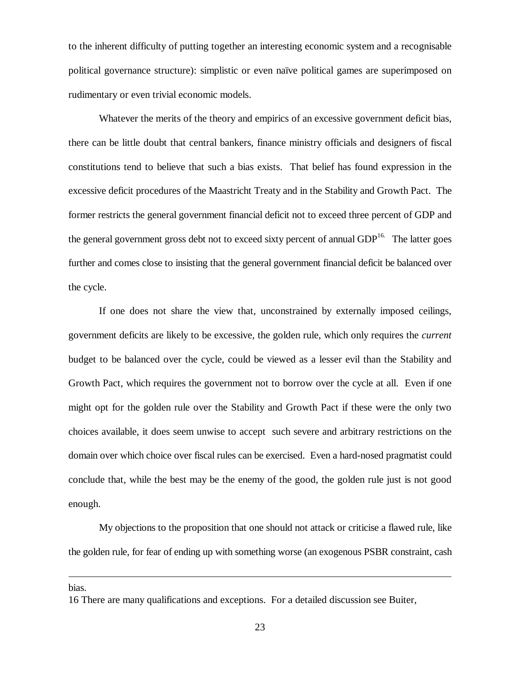to the inherent difficulty of putting together an interesting economic system and a recognisable political governance structure): simplistic or even naïve political games are superimposed on rudimentary or even trivial economic models.

Whatever the merits of the theory and empirics of an excessive government deficit bias, there can be little doubt that central bankers, finance ministry officials and designers of fiscal constitutions tend to believe that such a bias exists. That belief has found expression in the excessive deficit procedures of the Maastricht Treaty and in the Stability and Growth Pact. The former restricts the general government financial deficit not to exceed three percent of GDP and the general government gross debt not to exceed sixty percent of annual  $GDP<sup>16</sup>$ . The latter goes further and comes close to insisting that the general government financial deficit be balanced over the cycle.

If one does not share the view that, unconstrained by externally imposed ceilings, government deficits are likely to be excessive, the golden rule, which only requires the *current* budget to be balanced over the cycle, could be viewed as a lesser evil than the Stability and Growth Pact, which requires the government not to borrow over the cycle at all. Even if one might opt for the golden rule over the Stability and Growth Pact if these were the only two choices available, it does seem unwise to accept such severe and arbitrary restrictions on the domain over which choice over fiscal rules can be exercised. Even a hard-nosed pragmatist could conclude that, while the best may be the enemy of the good, the golden rule just is not good enough.

My objections to the proposition that one should not attack or criticise a flawed rule, like the golden rule, for fear of ending up with something worse (an exogenous PSBR constraint, cash

bias.

<sup>16</sup> There are many qualifications and exceptions. For a detailed discussion see Buiter,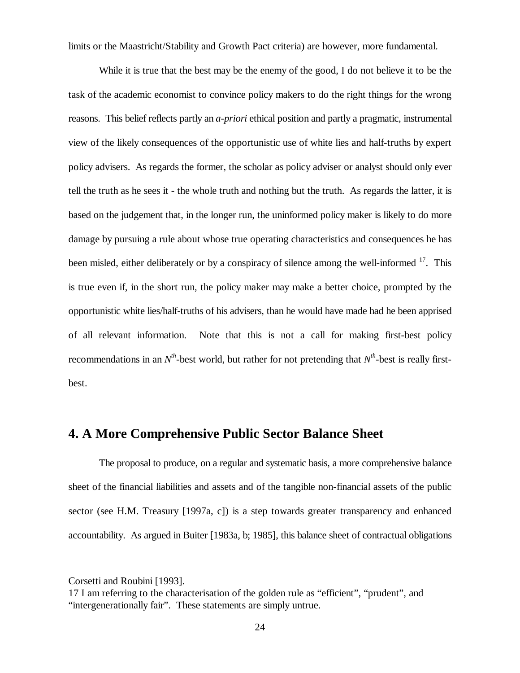limits or the Maastricht/Stability and Growth Pact criteria) are however, more fundamental.

While it is true that the best may be the enemy of the good, I do not believe it to be the task of the academic economist to convince policy makers to do the right things for the wrong reasons. This belief reflects partly an *a-priori* ethical position and partly a pragmatic, instrumental view of the likely consequences of the opportunistic use of white lies and half-truths by expert policy advisers. As regards the former, the scholar as policy adviser or analyst should only ever tell the truth as he sees it - the whole truth and nothing but the truth. As regards the latter, it is based on the judgement that, in the longer run, the uninformed policy maker is likely to do more damage by pursuing a rule about whose true operating characteristics and consequences he has been misled, either deliberately or by a conspiracy of silence among the well-informed <sup>17</sup>. This is true even if, in the short run, the policy maker may make a better choice, prompted by the opportunistic white lies/half-truths of his advisers, than he would have made had he been apprised of all relevant information. Note that this is not a call for making first-best policy recommendations in an  $N<sup>th</sup>$ -best world, but rather for not pretending that  $N<sup>th</sup>$ -best is really firstbest.

# **4. A More Comprehensive Public Sector Balance Sheet**

The proposal to produce, on a regular and systematic basis, a more comprehensive balance sheet of the financial liabilities and assets and of the tangible non-financial assets of the public sector (see H.M. Treasury [1997a, c]) is a step towards greater transparency and enhanced accountability. As argued in Buiter [1983a, b; 1985], this balance sheet of contractual obligations

Corsetti and Roubini [1993].

<sup>17</sup> I am referring to the characterisation of the golden rule as "efficient", "prudent", and "intergenerationally fair". These statements are simply untrue.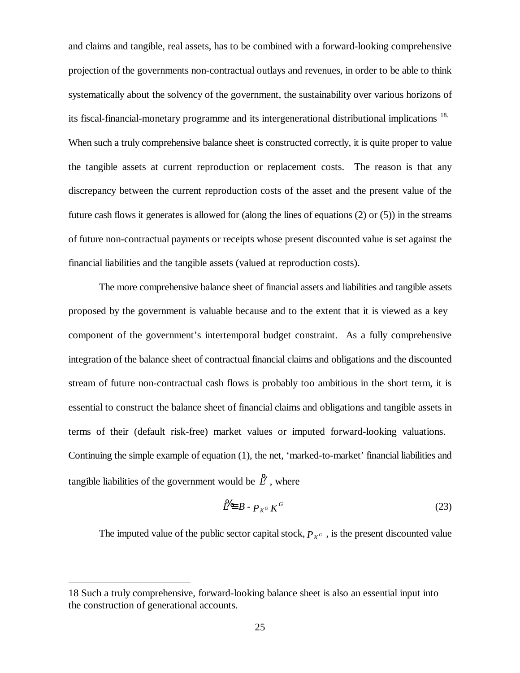and claims and tangible, real assets, has to be combined with a forward-looking comprehensive projection of the governments non-contractual outlays and revenues, in order to be able to think systematically about the solvency of the government, the sustainability over various horizons of its fiscal-financial-monetary programme and its intergenerational distributional implications<sup>18.</sup> When such a truly comprehensive balance sheet is constructed correctly, it is quite proper to value the tangible assets at current reproduction or replacement costs. The reason is that any discrepancy between the current reproduction costs of the asset and the present value of the future cash flows it generates is allowed for (along the lines of equations (2) or (5)) in the streams of future non-contractual payments or receipts whose present discounted value is set against the financial liabilities and the tangible assets (valued at reproduction costs).

The more comprehensive balance sheet of financial assets and liabilities and tangible assets proposed by the government is valuable because and to the extent that it is viewed as a key component of the government's intertemporal budget constraint. As a fully comprehensive integration of the balance sheet of contractual financial claims and obligations and the discounted stream of future non-contractual cash flows is probably too ambitious in the short term, it is essential to construct the balance sheet of financial claims and obligations and tangible assets in terms of their (default risk-free) market values or imputed forward-looking valuations. Continuing the simple example of equation (1), the net, 'marked-to-market' financial liabilities and tangible liabilities of the government would be  $\mathcal{L}$ , where

$$
\mathcal{L} \equiv B - P_{K^G} K^G \tag{23}
$$

The imputed value of the public sector capital stock,  $P_{K^G}$ , is the present discounted value

<sup>18</sup> Such a truly comprehensive, forward-looking balance sheet is also an essential input into the construction of generational accounts.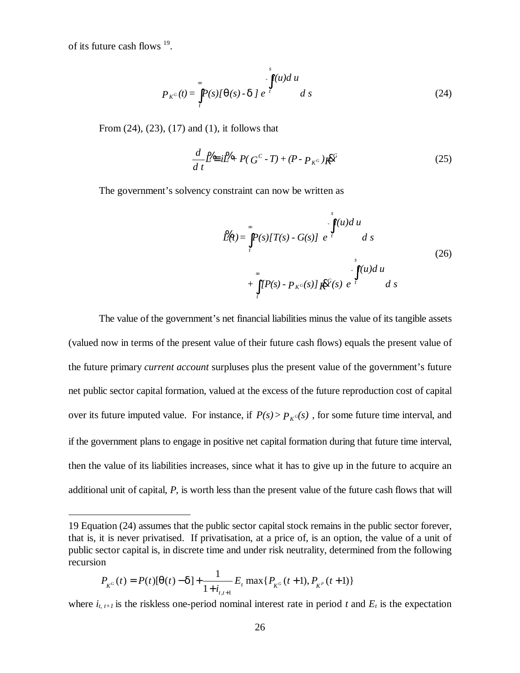of its future cash flows <sup>19</sup>.

 $\overline{a}$ 

$$
P_{K^G}(t) = \int_{t}^{\infty} P(s) [q(s) - d] e^{-s} d s
$$
 (24)

From (24), (23), (17) and (1), it follows that

$$
\frac{d}{dt} \cancel{L} = i \cancel{L} + P(G^C - T) + (P - P_{K^G}) \cancel{K} \cancel{K}
$$
\n(25)

The government's solvency constraint can now be written as

$$
\mathcal{L}(t) = \int_{t}^{\infty} P(s) [T(s) - G(s)] e^{-t} ds
$$
\n
$$
+ \int_{t}^{\infty} [P(s) - P_{K^G}(s)] K^{\mathcal{L}(s)} e^{-t} ds
$$
\n(26)

The value of the government's net financial liabilities minus the value of its tangible assets (valued now in terms of the present value of their future cash flows) equals the present value of the future primary *current account* surpluses plus the present value of the government's future net public sector capital formation, valued at the excess of the future reproduction cost of capital over its future imputed value. For instance, if  $P(s) > P_{K}(\sigma s)$ , for some future time interval, and if the government plans to engage in positive net capital formation during that future time interval, then the value of its liabilities increases, since what it has to give up in the future to acquire an additional unit of capital, *P*, is worth less than the present value of the future cash flows that will

$$
P_{K^G}(t) = P(t)[\mathbf{q}(t) - \mathbf{d}] + \frac{1}{1 + i_{t,t+1}} E_t \max\{P_{K^G}(t+1), P_{K^P}(t+1)\}
$$

where  $i_{t, t+1}$  is the riskless one-period nominal interest rate in period t and  $E_t$  is the expectation

<sup>19</sup> Equation (24) assumes that the public sector capital stock remains in the public sector forever, that is, it is never privatised. If privatisation, at a price of, is an option, the value of a unit of public sector capital is, in discrete time and under risk neutrality, determined from the following recursion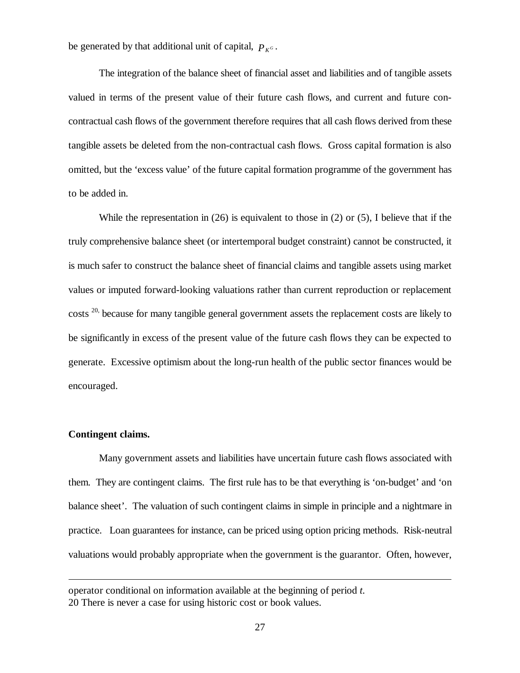be generated by that additional unit of capital,  $P_{K^G}$ .

The integration of the balance sheet of financial asset and liabilities and of tangible assets valued in terms of the present value of their future cash flows, and current and future concontractual cash flows of the government therefore requires that all cash flows derived from these tangible assets be deleted from the non-contractual cash flows. Gross capital formation is also omitted, but the 'excess value' of the future capital formation programme of the government has to be added in.

While the representation in  $(26)$  is equivalent to those in  $(2)$  or  $(5)$ , I believe that if the truly comprehensive balance sheet (or intertemporal budget constraint) cannot be constructed, it is much safer to construct the balance sheet of financial claims and tangible assets using market values or imputed forward-looking valuations rather than current reproduction or replacement costs <sup>20,</sup> because for many tangible general government assets the replacement costs are likely to be significantly in excess of the present value of the future cash flows they can be expected to generate. Excessive optimism about the long-run health of the public sector finances would be encouraged.

#### **Contingent claims.**

 $\overline{a}$ 

Many government assets and liabilities have uncertain future cash flows associated with them. They are contingent claims. The first rule has to be that everything is 'on-budget' and 'on balance sheet'. The valuation of such contingent claims in simple in principle and a nightmare in practice. Loan guarantees for instance, can be priced using option pricing methods. Risk-neutral valuations would probably appropriate when the government is the guarantor. Often, however,

operator conditional on information available at the beginning of period *t.* 20 There is never a case for using historic cost or book values.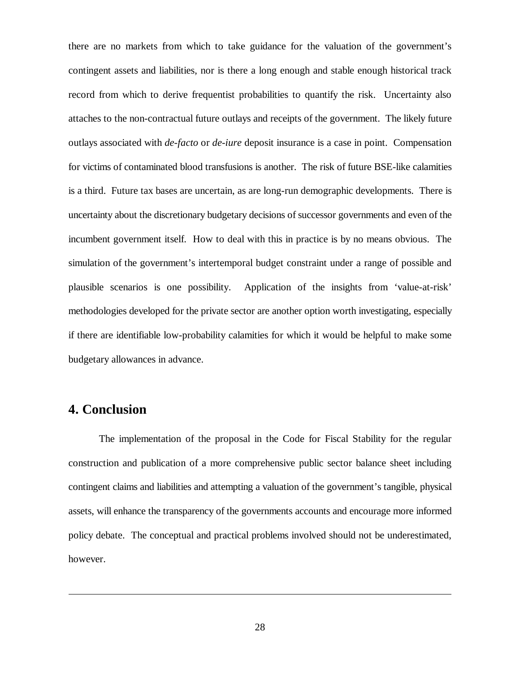there are no markets from which to take guidance for the valuation of the government's contingent assets and liabilities, nor is there a long enough and stable enough historical track record from which to derive frequentist probabilities to quantify the risk. Uncertainty also attaches to the non-contractual future outlays and receipts of the government. The likely future outlays associated with *de-facto* or *de-iure* deposit insurance is a case in point. Compensation for victims of contaminated blood transfusions is another. The risk of future BSE-like calamities is a third. Future tax bases are uncertain, as are long-run demographic developments. There is uncertainty about the discretionary budgetary decisions of successor governments and even of the incumbent government itself. How to deal with this in practice is by no means obvious. The simulation of the government's intertemporal budget constraint under a range of possible and plausible scenarios is one possibility. Application of the insights from 'value-at-risk' methodologies developed for the private sector are another option worth investigating, especially if there are identifiable low-probability calamities for which it would be helpful to make some budgetary allowances in advance.

# **4. Conclusion**

 $\overline{a}$ 

The implementation of the proposal in the Code for Fiscal Stability for the regular construction and publication of a more comprehensive public sector balance sheet including contingent claims and liabilities and attempting a valuation of the government's tangible, physical assets, will enhance the transparency of the governments accounts and encourage more informed policy debate. The conceptual and practical problems involved should not be underestimated, however.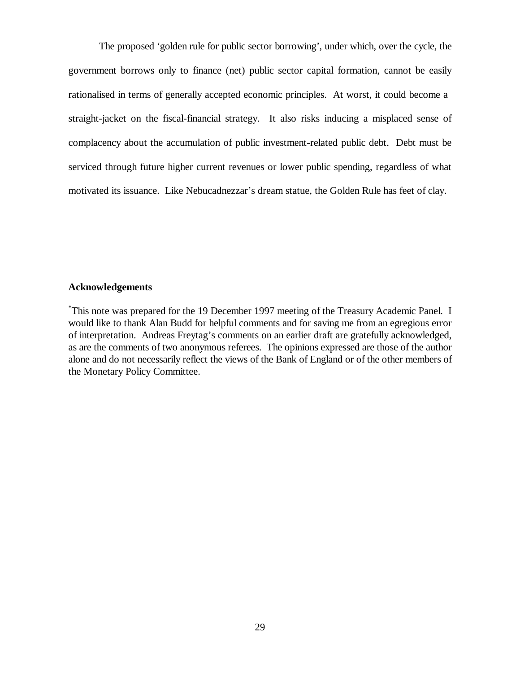The proposed 'golden rule for public sector borrowing', under which, over the cycle, the government borrows only to finance (net) public sector capital formation, cannot be easily rationalised in terms of generally accepted economic principles. At worst, it could become a straight-jacket on the fiscal-financial strategy. It also risks inducing a misplaced sense of complacency about the accumulation of public investment-related public debt. Debt must be serviced through future higher current revenues or lower public spending, regardless of what motivated its issuance. Like Nebucadnezzar's dream statue, the Golden Rule has feet of clay.

#### **Acknowledgements**

\*This note was prepared for the 19 December 1997 meeting of the Treasury Academic Panel. I would like to thank Alan Budd for helpful comments and for saving me from an egregious error of interpretation. Andreas Freytag's comments on an earlier draft are gratefully acknowledged, as are the comments of two anonymous referees. The opinions expressed are those of the author alone and do not necessarily reflect the views of the Bank of England or of the other members of the Monetary Policy Committee.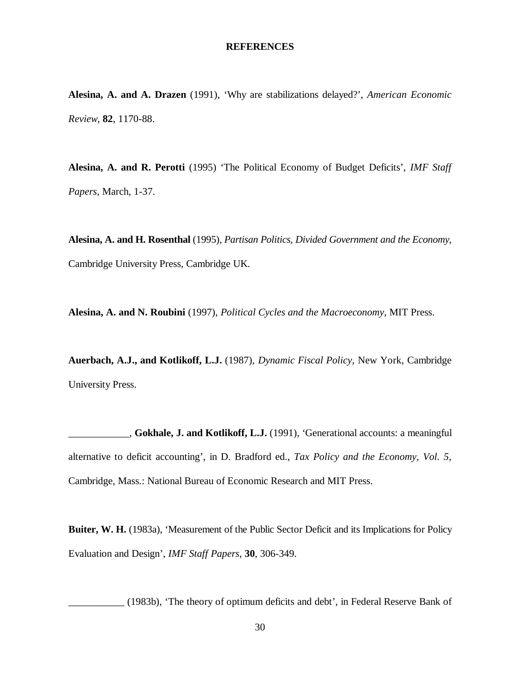#### **REFERENCES**

**Alesina, A. and A. Drazen** (1991), 'Why are stabilizations delayed?', *American Economic Review*, **82**, 1170-88.

**Alesina, A. and R. Perotti** (1995) 'The Political Economy of Budget Deficits', *IMF Staff Papers*, March, 1-37.

**Alesina, A. and H. Rosenthal** (1995), *Partisan Politics, Divided Government and the Economy*, Cambridge University Press, Cambridge UK.

**Alesina, A. and N. Roubini** (1997), *Political Cycles and the Macroeconomy*, MIT Press.

**Auerbach, A.J., and Kotlikoff, L.J.** (1987), *Dynamic Fiscal Policy*, New York, Cambridge University Press.

\_\_\_\_\_\_\_\_\_\_\_\_, **Gokhale, J. and Kotlikoff, L.J.** (1991), 'Generational accounts: a meaningful alternative to deficit accounting', in D. Bradford ed., *Tax Policy and the Economy, Vol. 5*, Cambridge, Mass.: National Bureau of Economic Research and MIT Press.

**Buiter, W. H.** (1983a), 'Measurement of the Public Sector Deficit and its Implications for Policy Evaluation and Design', *IMF Staff Papers*, **30**, 306-349.

\_\_\_\_\_\_\_\_\_\_\_ (1983b), 'The theory of optimum deficits and debt', in Federal Reserve Bank of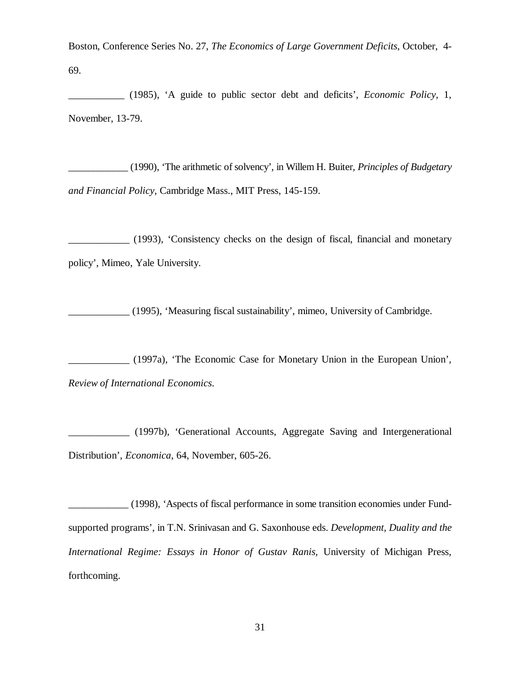Boston, Conference Series No. 27, *The Economics of Large Government Deficits*, October, 4- 69.

\_\_\_\_\_\_\_\_\_\_\_ (1985), 'A guide to public sector debt and deficits', *Economic Policy*, 1, November, 13-79.

\_\_\_\_\_\_\_\_\_\_\_\_ (1990), 'The arithmetic of solvency', in Willem H. Buiter*, Principles of Budgetary and Financial Policy*, Cambridge Mass., MIT Press, 145-159.

\_\_\_\_\_\_\_\_\_\_\_\_ (1993), 'Consistency checks on the design of fiscal, financial and monetary policy', Mimeo, Yale University.

\_\_\_\_\_\_\_\_\_\_\_\_ (1995), 'Measuring fiscal sustainability', mimeo, University of Cambridge.

\_\_\_\_\_\_\_\_\_\_\_\_ (1997a), 'The Economic Case for Monetary Union in the European Union', *Review of International Economics*.

\_\_\_\_\_\_\_\_\_\_\_\_ (1997b), 'Generational Accounts, Aggregate Saving and Intergenerational Distribution', *Economica*, 64, November, 605-26.

\_\_\_\_\_\_\_\_\_\_\_\_ (1998), 'Aspects of fiscal performance in some transition economies under Fundsupported programs', in T.N. Srinivasan and G. Saxonhouse eds. *Development, Duality and the International Regime: Essays in Honor of Gustav Ranis,* University of Michigan Press, forthcoming.